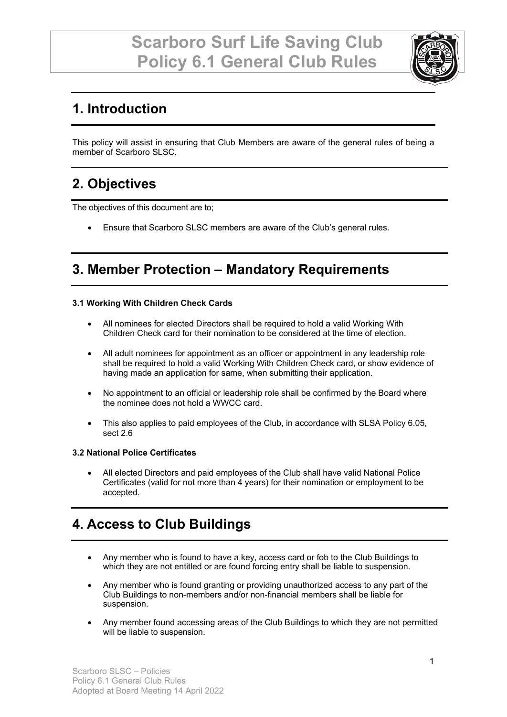

# **1. Introduction**

This policy will assist in ensuring that Club Members are aware of the general rules of being a member of Scarboro SLSC.

# **2. Objectives**

The objectives of this document are to;

• Ensure that Scarboro SLSC members are aware of the Club's general rules.

## **3. Member Protection – Mandatory Requirements**

#### **3.1 Working With Children Check Cards**

- All nominees for elected Directors shall be required to hold a valid Working With Children Check card for their nomination to be considered at the time of election.
- All adult nominees for appointment as an officer or appointment in any leadership role shall be required to hold a valid Working With Children Check card, or show evidence of having made an application for same, when submitting their application.
- No appointment to an official or leadership role shall be confirmed by the Board where the nominee does not hold a WWCC card.
- This also applies to paid employees of the Club, in accordance with SLSA Policy 6.05, sect 2.6

#### **3.2 National Police Certificates**

• All elected Directors and paid employees of the Club shall have valid National Police Certificates (valid for not more than 4 years) for their nomination or employment to be accepted.

## **4. Access to Club Buildings**

- Any member who is found to have a key, access card or fob to the Club Buildings to which they are not entitled or are found forcing entry shall be liable to suspension.
- Any member who is found granting or providing unauthorized access to any part of the Club Buildings to non-members and/or non-financial members shall be liable for suspension.
- Any member found accessing areas of the Club Buildings to which they are not permitted will be liable to suspension.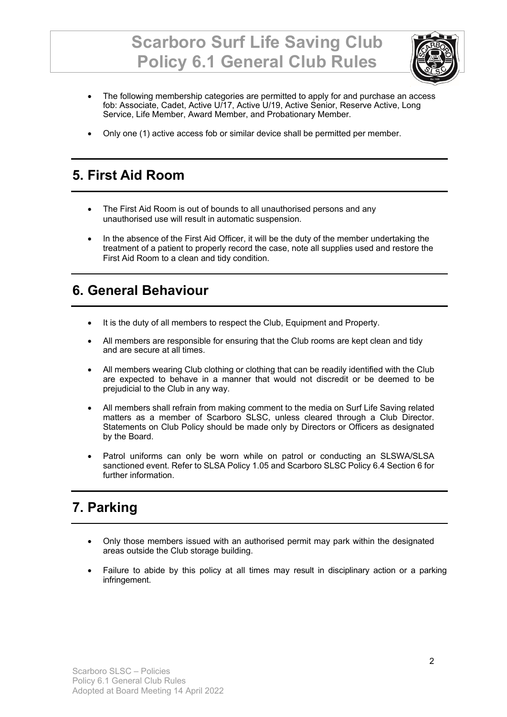# **Scarboro Surf Life Saving Club Policy 6.1 General Club Rules**



- The following membership categories are permitted to apply for and purchase an access fob: Associate, Cadet, Active U/17, Active U/19, Active Senior, Reserve Active, Long Service, Life Member, Award Member, and Probationary Member.
- Only one (1) active access fob or similar device shall be permitted per member.

### **5. First Aid Room**

- The First Aid Room is out of bounds to all unauthorised persons and any unauthorised use will result in automatic suspension.
- In the absence of the First Aid Officer, it will be the duty of the member undertaking the treatment of a patient to properly record the case, note all supplies used and restore the First Aid Room to a clean and tidy condition.

### **6. General Behaviour**

- It is the duty of all members to respect the Club, Equipment and Property.
- All members are responsible for ensuring that the Club rooms are kept clean and tidy and are secure at all times.
- All members wearing Club clothing or clothing that can be readily identified with the Club are expected to behave in a manner that would not discredit or be deemed to be prejudicial to the Club in any way.
- All members shall refrain from making comment to the media on Surf Life Saving related matters as a member of Scarboro SLSC, unless cleared through a Club Director. Statements on Club Policy should be made only by Directors or Officers as designated by the Board.
- Patrol uniforms can only be worn while on patrol or conducting an SLSWA/SLSA sanctioned event. Refer to SLSA Policy 1.05 and Scarboro SLSC Policy 6.4 Section 6 for further information.

## **7. Parking**

- Only those members issued with an authorised permit may park within the designated areas outside the Club storage building.
- Failure to abide by this policy at all times may result in disciplinary action or a parking infringement.